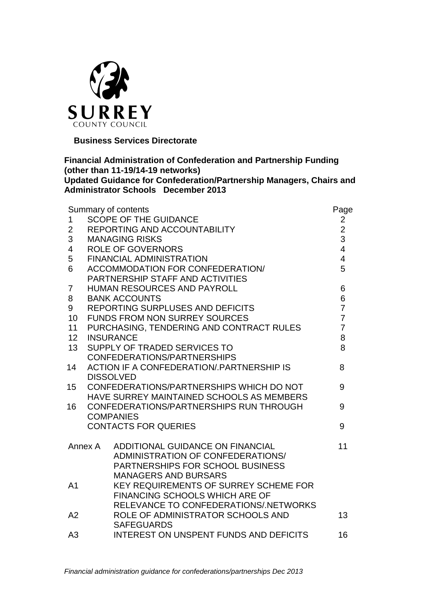

 **Business Services Directorate**

### **Financial Administration of Confederation and Partnership Funding (other than 11-19/14-19 networks) Updated Guidance for Confederation/Partnership Managers, Chairs and Administrator Schools December 2013**

| Summary of contents     |                                           |                                              | Page                    |
|-------------------------|-------------------------------------------|----------------------------------------------|-------------------------|
| $\mathbf 1$             |                                           | <b>SCOPE OF THE GUIDANCE</b>                 | $\overline{\mathbf{c}}$ |
| $\overline{2}$          |                                           | REPORTING AND ACCOUNTABILITY                 | $\frac{2}{3}$           |
| 3                       |                                           | <b>MANAGING RISKS</b>                        |                         |
| $\overline{\mathbf{4}}$ |                                           | <b>ROLE OF GOVERNORS</b>                     | $\overline{\mathbf{4}}$ |
| 5                       |                                           | <b>FINANCIAL ADMINISTRATION</b>              | $\overline{\mathbf{4}}$ |
| 6                       | <b>ACCOMMODATION FOR CONFEDERATION/</b>   |                                              | 5                       |
|                         | PARTNERSHIP STAFF AND ACTIVITIES          |                                              |                         |
| $\overline{7}$          |                                           | HUMAN RESOURCES AND PAYROLL                  | 6                       |
| 8                       |                                           | <b>BANK ACCOUNTS</b>                         | 6                       |
| 9                       |                                           | REPORTING SURPLUSES AND DEFICITS             | $\overline{7}$          |
| 10                      |                                           | <b>FUNDS FROM NON SURREY SOURCES</b>         | $\overline{7}$          |
| 11                      |                                           | PURCHASING, TENDERING AND CONTRACT RULES     | $\overline{7}$          |
| 12 <sup>2</sup>         |                                           | <b>INSURANCE</b>                             | 8<br>8                  |
| 13                      | SUPPLY OF TRADED SERVICES TO              |                                              |                         |
|                         | CONFEDERATIONS/PARTNERSHIPS               |                                              |                         |
| 14                      | ACTION IF A CONFEDERATION/ PARTNERSHIP IS |                                              | 8                       |
|                         | <b>DISSOLVED</b>                          |                                              |                         |
| 15                      | CONFEDERATIONS/PARTNERSHIPS WHICH DO NOT  |                                              | 9                       |
|                         | HAVE SURREY MAINTAINED SCHOOLS AS MEMBERS |                                              |                         |
| 16                      | CONFEDERATIONS/PARTNERSHIPS RUN THROUGH   |                                              | 9                       |
|                         | <b>COMPANIES</b>                          |                                              |                         |
|                         | <b>CONTACTS FOR QUERIES</b>               |                                              | 9                       |
|                         | Annex A                                   | ADDITIONAL GUIDANCE ON FINANCIAL             | 11                      |
|                         |                                           | ADMINISTRATION OF CONFEDERATIONS/            |                         |
|                         |                                           | PARTNERSHIPS FOR SCHOOL BUSINESS             |                         |
|                         |                                           | <b>MANAGERS AND BURSARS</b>                  |                         |
| A <sub>1</sub>          |                                           | <b>KEY REQUIREMENTS OF SURREY SCHEME FOR</b> |                         |
|                         |                                           | <b>FINANCING SCHOOLS WHICH ARE OF</b>        |                         |
|                         |                                           | RELEVANCE TO CONFEDERATIONS/.NETWORKS        |                         |
| A2                      |                                           | ROLE OF ADMINISTRATOR SCHOOLS AND            | 13                      |
|                         |                                           | <b>SAFEGUARDS</b>                            |                         |
| A <sub>3</sub>          |                                           | INTEREST ON UNSPENT FUNDS AND DEFICITS       | 16                      |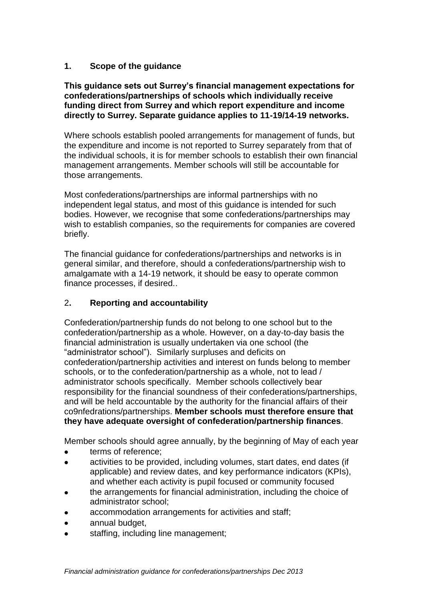### **1. Scope of the guidance**

#### **This guidance sets out Surrey's financial management expectations for confederations/partnerships of schools which individually receive funding direct from Surrey and which report expenditure and income directly to Surrey. Separate guidance applies to 11-19/14-19 networks.**

Where schools establish pooled arrangements for management of funds, but the expenditure and income is not reported to Surrey separately from that of the individual schools, it is for member schools to establish their own financial management arrangements. Member schools will still be accountable for those arrangements.

Most confederations/partnerships are informal partnerships with no independent legal status, and most of this guidance is intended for such bodies. However, we recognise that some confederations/partnerships may wish to establish companies, so the requirements for companies are covered briefly.

The financial guidance for confederations/partnerships and networks is in general similar, and therefore, should a confederations/partnership wish to amalgamate with a 14-19 network, it should be easy to operate common finance processes, if desired..

### 2**. Reporting and accountability**

Confederation/partnership funds do not belong to one school but to the confederation/partnership as a whole. However, on a day-to-day basis the financial administration is usually undertaken via one school (the "administrator school"). Similarly surpluses and deficits on confederation/partnership activities and interest on funds belong to member schools, or to the confederation/partnership as a whole, not to lead / administrator schools specifically. Member schools collectively bear responsibility for the financial soundness of their confederations/partnerships, and will be held accountable by the authority for the financial affairs of their co9nfedrations/partnerships. **Member schools must therefore ensure that they have adequate oversight of confederation/partnership finances**.

Member schools should agree annually, by the beginning of May of each year

- terms of reference;
- activities to be provided, including volumes, start dates, end dates (if  $\blacksquare$ applicable) and review dates, and key performance indicators (KPIs), and whether each activity is pupil focused or community focused
- the arrangements for financial administration, including the choice of administrator school;
- accommodation arrangements for activities and staff;
- annual budget,
- staffing, including line management;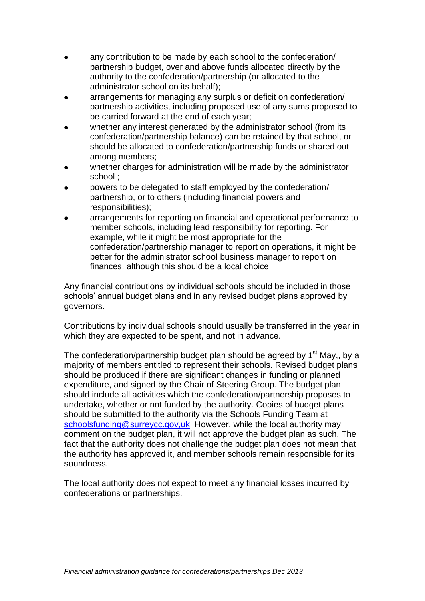- any contribution to be made by each school to the confederation/ partnership budget, over and above funds allocated directly by the authority to the confederation/partnership (or allocated to the administrator school on its behalf);
- arrangements for managing any surplus or deficit on confederation/ partnership activities, including proposed use of any sums proposed to be carried forward at the end of each year;
- whether any interest generated by the administrator school (from its confederation/partnership balance) can be retained by that school, or should be allocated to confederation/partnership funds or shared out among members;
- whether charges for administration will be made by the administrator school ;
- powers to be delegated to staff employed by the confederation/ partnership, or to others (including financial powers and responsibilities);
- arrangements for reporting on financial and operational performance to member schools, including lead responsibility for reporting. For example, while it might be most appropriate for the confederation/partnership manager to report on operations, it might be better for the administrator school business manager to report on finances, although this should be a local choice

Any financial contributions by individual schools should be included in those schools' annual budget plans and in any revised budget plans approved by governors.

Contributions by individual schools should usually be transferred in the year in which they are expected to be spent, and not in advance.

The confederation/partnership budget plan should be agreed by  $1<sup>st</sup>$  May,, by a majority of members entitled to represent their schools. Revised budget plans should be produced if there are significant changes in funding or planned expenditure, and signed by the Chair of Steering Group. The budget plan should include all activities which the confederation/partnership proposes to undertake, whether or not funded by the authority. Copies of budget plans should be submitted to the authority via the Schools Funding Team at [schoolsfunding@surreycc.gov,uk](mailto:schoolsfunding@surreycc.gov,uk) However, while the local authority may comment on the budget plan, it will not approve the budget plan as such. The fact that the authority does not challenge the budget plan does not mean that the authority has approved it, and member schools remain responsible for its soundness.

The local authority does not expect to meet any financial losses incurred by confederations or partnerships.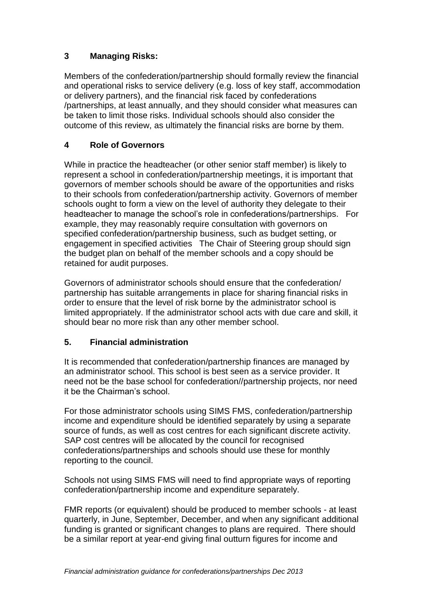# **3 Managing Risks:**

Members of the confederation/partnership should formally review the financial and operational risks to service delivery (e.g. loss of key staff, accommodation or delivery partners), and the financial risk faced by confederations /partnerships, at least annually, and they should consider what measures can be taken to limit those risks. Individual schools should also consider the outcome of this review, as ultimately the financial risks are borne by them.

## **4 Role of Governors**

While in practice the headteacher (or other senior staff member) is likely to represent a school in confederation/partnership meetings, it is important that governors of member schools should be aware of the opportunities and risks to their schools from confederation/partnership activity. Governors of member schools ought to form a view on the level of authority they delegate to their headteacher to manage the school's role in confederations/partnerships. For example, they may reasonably require consultation with governors on specified confederation/partnership business, such as budget setting, or engagement in specified activities The Chair of Steering group should sign the budget plan on behalf of the member schools and a copy should be retained for audit purposes.

Governors of administrator schools should ensure that the confederation/ partnership has suitable arrangements in place for sharing financial risks in order to ensure that the level of risk borne by the administrator school is limited appropriately. If the administrator school acts with due care and skill, it should bear no more risk than any other member school.

### **5. Financial administration**

It is recommended that confederation/partnership finances are managed by an administrator school. This school is best seen as a service provider. It need not be the base school for confederation//partnership projects, nor need it be the Chairman's school.

For those administrator schools using SIMS FMS, confederation/partnership income and expenditure should be identified separately by using a separate source of funds, as well as cost centres for each significant discrete activity. SAP cost centres will be allocated by the council for recognised confederations/partnerships and schools should use these for monthly reporting to the council.

Schools not using SIMS FMS will need to find appropriate ways of reporting confederation/partnership income and expenditure separately.

FMR reports (or equivalent) should be produced to member schools - at least quarterly, in June, September, December, and when any significant additional funding is granted or significant changes to plans are required. There should be a similar report at year-end giving final outturn figures for income and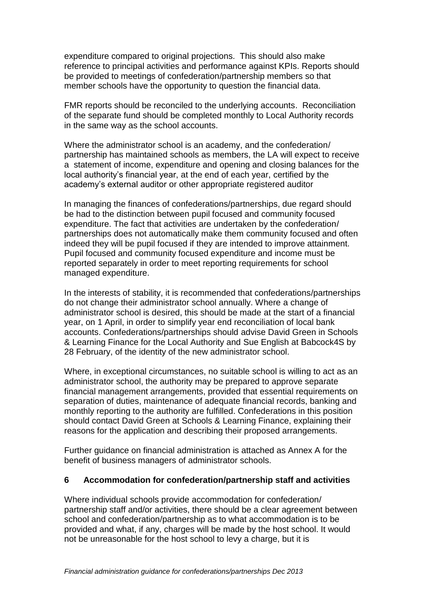expenditure compared to original projections. This should also make reference to principal activities and performance against KPIs. Reports should be provided to meetings of confederation/partnership members so that member schools have the opportunity to question the financial data.

FMR reports should be reconciled to the underlying accounts. Reconciliation of the separate fund should be completed monthly to Local Authority records in the same way as the school accounts.

Where the administrator school is an academy, and the confederation/ partnership has maintained schools as members, the LA will expect to receive a statement of income, expenditure and opening and closing balances for the local authority's financial year, at the end of each year, certified by the academy's external auditor or other appropriate registered auditor

In managing the finances of confederations/partnerships, due regard should be had to the distinction between pupil focused and community focused expenditure. The fact that activities are undertaken by the confederation/ partnerships does not automatically make them community focused and often indeed they will be pupil focused if they are intended to improve attainment. Pupil focused and community focused expenditure and income must be reported separately in order to meet reporting requirements for school managed expenditure.

In the interests of stability, it is recommended that confederations/partnerships do not change their administrator school annually. Where a change of administrator school is desired, this should be made at the start of a financial year, on 1 April, in order to simplify year end reconciliation of local bank accounts. Confederations/partnerships should advise David Green in Schools & Learning Finance for the Local Authority and Sue English at Babcock4S by 28 February, of the identity of the new administrator school.

Where, in exceptional circumstances, no suitable school is willing to act as an administrator school, the authority may be prepared to approve separate financial management arrangements, provided that essential requirements on separation of duties, maintenance of adequate financial records, banking and monthly reporting to the authority are fulfilled. Confederations in this position should contact David Green at Schools & Learning Finance, explaining their reasons for the application and describing their proposed arrangements.

Further guidance on financial administration is attached as Annex A for the benefit of business managers of administrator schools.

#### **6 Accommodation for confederation/partnership staff and activities**

Where individual schools provide accommodation for confederation/ partnership staff and/or activities, there should be a clear agreement between school and confederation/partnership as to what accommodation is to be provided and what, if any, charges will be made by the host school. It would not be unreasonable for the host school to levy a charge, but it is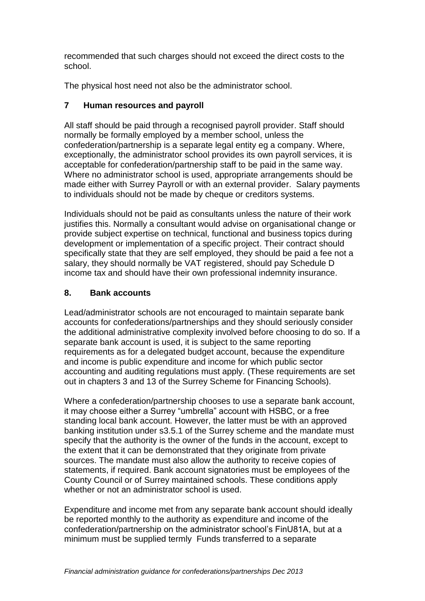recommended that such charges should not exceed the direct costs to the school.

The physical host need not also be the administrator school.

### **7 Human resources and payroll**

All staff should be paid through a recognised payroll provider. Staff should normally be formally employed by a member school, unless the confederation/partnership is a separate legal entity eg a company. Where, exceptionally, the administrator school provides its own payroll services, it is acceptable for confederation/partnership staff to be paid in the same way. Where no administrator school is used, appropriate arrangements should be made either with Surrey Payroll or with an external provider. Salary payments to individuals should not be made by cheque or creditors systems.

Individuals should not be paid as consultants unless the nature of their work justifies this. Normally a consultant would advise on organisational change or provide subject expertise on technical, functional and business topics during development or implementation of a specific project. Their contract should specifically state that they are self employed, they should be paid a fee not a salary, they should normally be VAT registered, should pay Schedule D income tax and should have their own professional indemnity insurance.

## **8. Bank accounts**

Lead/administrator schools are not encouraged to maintain separate bank accounts for confederations/partnerships and they should seriously consider the additional administrative complexity involved before choosing to do so. If a separate bank account is used, it is subject to the same reporting requirements as for a delegated budget account, because the expenditure and income is public expenditure and income for which public sector accounting and auditing regulations must apply. (These requirements are set out in chapters 3 and 13 of the Surrey Scheme for Financing Schools).

Where a confederation/partnership chooses to use a separate bank account, it may choose either a Surrey "umbrella" account with HSBC, or a free standing local bank account. However, the latter must be with an approved banking institution under s3.5.1 of the Surrey scheme and the mandate must specify that the authority is the owner of the funds in the account, except to the extent that it can be demonstrated that they originate from private sources. The mandate must also allow the authority to receive copies of statements, if required. Bank account signatories must be employees of the County Council or of Surrey maintained schools. These conditions apply whether or not an administrator school is used.

Expenditure and income met from any separate bank account should ideally be reported monthly to the authority as expenditure and income of the confederation/partnership on the administrator school's FinU81A, but at a minimum must be supplied termly Funds transferred to a separate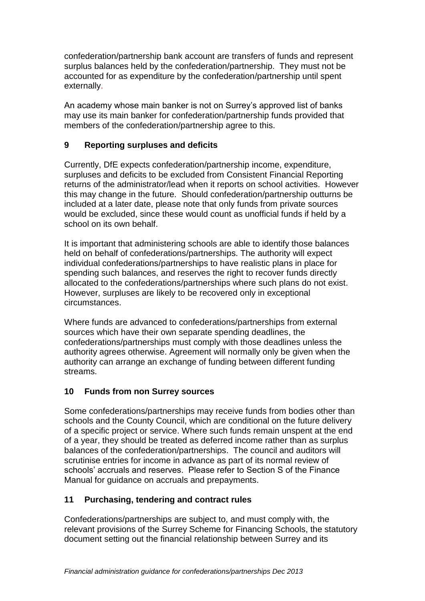confederation/partnership bank account are transfers of funds and represent surplus balances held by the confederation/partnership. They must not be accounted for as expenditure by the confederation/partnership until spent externally.

An academy whose main banker is not on Surrey's approved list of banks may use its main banker for confederation/partnership funds provided that members of the confederation/partnership agree to this.

## **9 Reporting surpluses and deficits**

Currently, DfE expects confederation/partnership income, expenditure, surpluses and deficits to be excluded from Consistent Financial Reporting returns of the administrator/lead when it reports on school activities. However this may change in the future. Should confederation/partnership outturns be included at a later date, please note that only funds from private sources would be excluded, since these would count as unofficial funds if held by a school on its own behalf.

It is important that administering schools are able to identify those balances held on behalf of confederations/partnerships. The authority will expect individual confederations/partnerships to have realistic plans in place for spending such balances, and reserves the right to recover funds directly allocated to the confederations/partnerships where such plans do not exist. However, surpluses are likely to be recovered only in exceptional circumstances.

Where funds are advanced to confederations/partnerships from external sources which have their own separate spending deadlines, the confederations/partnerships must comply with those deadlines unless the authority agrees otherwise. Agreement will normally only be given when the authority can arrange an exchange of funding between different funding streams.

### **10 Funds from non Surrey sources**

Some confederations/partnerships may receive funds from bodies other than schools and the County Council, which are conditional on the future delivery of a specific project or service. Where such funds remain unspent at the end of a year, they should be treated as deferred income rather than as surplus balances of the confederation/partnerships. The council and auditors will scrutinise entries for income in advance as part of its normal review of schools' accruals and reserves. Please refer to Section S of the Finance Manual for guidance on accruals and prepayments.

# **11 Purchasing, tendering and contract rules**

Confederations/partnerships are subject to, and must comply with, the relevant provisions of the Surrey Scheme for Financing Schools, the statutory document setting out the financial relationship between Surrey and its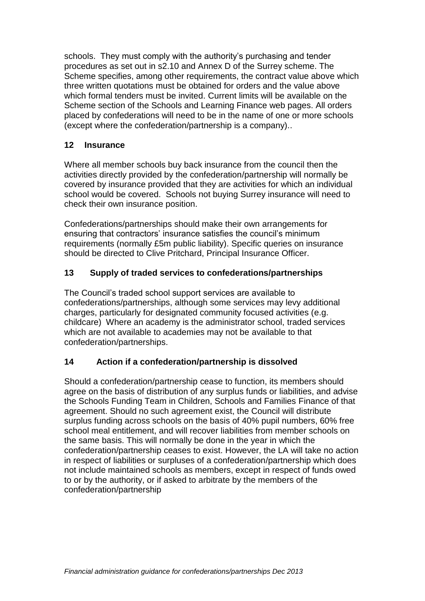schools. They must comply with the authority's purchasing and tender procedures as set out in s2.10 and Annex D of the Surrey scheme. The Scheme specifies, among other requirements, the contract value above which three written quotations must be obtained for orders and the value above which formal tenders must be invited. Current limits will be available on the Scheme section of the Schools and Learning Finance web pages. All orders placed by confederations will need to be in the name of one or more schools (except where the confederation/partnership is a company)..

## **12 Insurance**

Where all member schools buy back insurance from the council then the activities directly provided by the confederation/partnership will normally be covered by insurance provided that they are activities for which an individual school would be covered. Schools not buying Surrey insurance will need to check their own insurance position.

Confederations/partnerships should make their own arrangements for ensuring that contractors' insurance satisfies the council's minimum requirements (normally £5m public liability). Specific queries on insurance should be directed to Clive Pritchard, Principal Insurance Officer.

## **13 Supply of traded services to confederations/partnerships**

The Council's traded school support services are available to confederations/partnerships, although some services may levy additional charges, particularly for designated community focused activities (e.g. childcare) Where an academy is the administrator school, traded services which are not available to academies may not be available to that confederation/partnerships.

### **14 Action if a confederation/partnership is dissolved**

Should a confederation/partnership cease to function, its members should agree on the basis of distribution of any surplus funds or liabilities, and advise the Schools Funding Team in Children, Schools and Families Finance of that agreement. Should no such agreement exist, the Council will distribute surplus funding across schools on the basis of 40% pupil numbers, 60% free school meal entitlement, and will recover liabilities from member schools on the same basis. This will normally be done in the year in which the confederation/partnership ceases to exist. However, the LA will take no action in respect of liabilities or surpluses of a confederation/partnership which does not include maintained schools as members, except in respect of funds owed to or by the authority, or if asked to arbitrate by the members of the confederation/partnership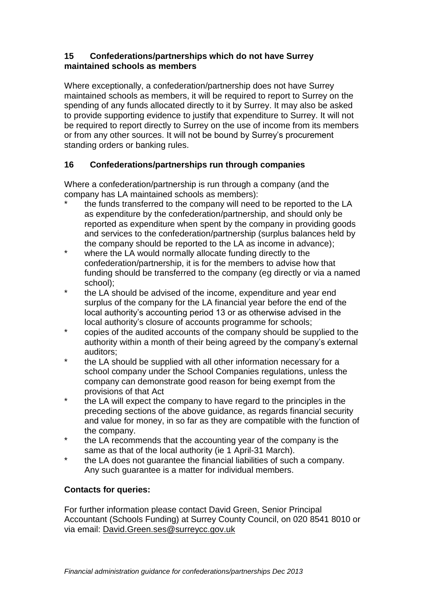### **15 Confederations/partnerships which do not have Surrey maintained schools as members**

Where exceptionally, a confederation/partnership does not have Surrey maintained schools as members, it will be required to report to Surrey on the spending of any funds allocated directly to it by Surrey. It may also be asked to provide supporting evidence to justify that expenditure to Surrey. It will not be required to report directly to Surrey on the use of income from its members or from any other sources. It will not be bound by Surrey's procurement standing orders or banking rules.

# **16 Confederations/partnerships run through companies**

Where a confederation/partnership is run through a company (and the company has LA maintained schools as members):

- the funds transferred to the company will need to be reported to the LA as expenditure by the confederation/partnership, and should only be reported as expenditure when spent by the company in providing goods and services to the confederation/partnership (surplus balances held by the company should be reported to the LA as income in advance);
- \* where the LA would normally allocate funding directly to the confederation/partnership, it is for the members to advise how that funding should be transferred to the company (eg directly or via a named school);
- the LA should be advised of the income, expenditure and year end surplus of the company for the LA financial year before the end of the local authority's accounting period 13 or as otherwise advised in the local authority's closure of accounts programme for schools;
- \* copies of the audited accounts of the company should be supplied to the authority within a month of their being agreed by the company's external auditors;
- \* the LA should be supplied with all other information necessary for a school company under the School Companies regulations, unless the company can demonstrate good reason for being exempt from the provisions of that Act
- \* the LA will expect the company to have regard to the principles in the preceding sections of the above guidance, as regards financial security and value for money, in so far as they are compatible with the function of the company.
- the LA recommends that the accounting year of the company is the same as that of the local authority (ie 1 April-31 March).
- the LA does not quarantee the financial liabilities of such a company. Any such guarantee is a matter for individual members.

# **Contacts for queries:**

For further information please contact David Green, Senior Principal Accountant (Schools Funding) at Surrey County Council, on 020 8541 8010 or via email: [David.Green.ses@surreycc.gov.uk](mailto:David.Green.ses@surreycc.gov.uk)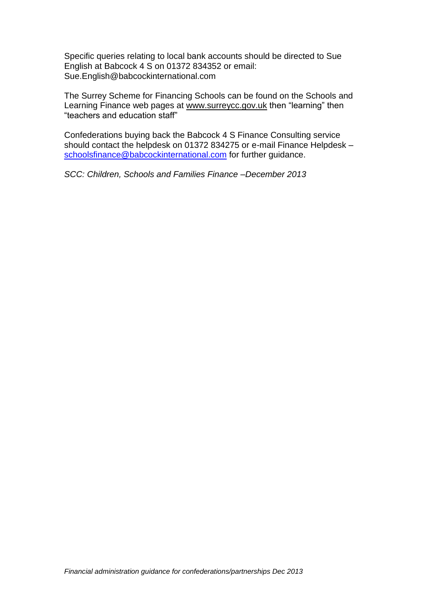Specific queries relating to local bank accounts should be directed to Sue English at Babcock 4 S on 01372 834352 or email: Sue.English@babcockinternational.com

The Surrey Scheme for Financing Schools can be found on the Schools and Learning Finance web pages at [www.surreycc.gov.uk](http://www.surreycc.gov.uk/) then "learning" then "teachers and education staff"

Confederations buying back the Babcock 4 S Finance Consulting service should contact the helpdesk on 01372 834275 or e-mail Finance Helpdesk – [schoolsfinance@babcockinternational.com](mailto:schoolsfinance@babcockinternational.com) for further guidance.

*SCC: Children, Schools and Families Finance –December 2013*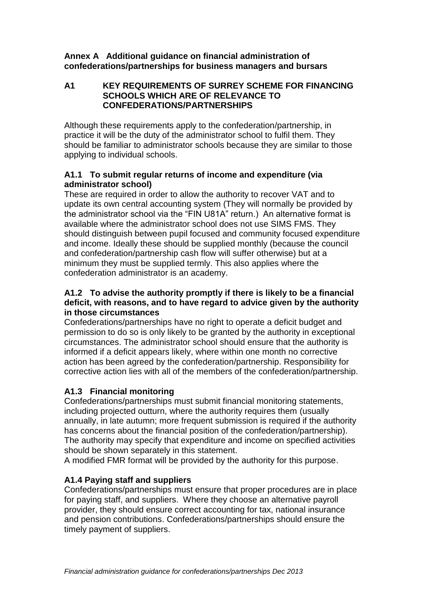#### **Annex A Additional guidance on financial administration of confederations/partnerships for business managers and bursars**

### **A1 KEY REQUIREMENTS OF SURREY SCHEME FOR FINANCING SCHOOLS WHICH ARE OF RELEVANCE TO CONFEDERATIONS/PARTNERSHIPS**

Although these requirements apply to the confederation/partnership, in practice it will be the duty of the administrator school to fulfil them. They should be familiar to administrator schools because they are similar to those applying to individual schools.

### **A1.1 To submit regular returns of income and expenditure (via administrator school)**

These are required in order to allow the authority to recover VAT and to update its own central accounting system (They will normally be provided by the administrator school via the "FIN U81A" return.) An alternative format is available where the administrator school does not use SIMS FMS. They should distinguish between pupil focused and community focused expenditure and income. Ideally these should be supplied monthly (because the council and confederation/partnership cash flow will suffer otherwise) but at a minimum they must be supplied termly. This also applies where the confederation administrator is an academy.

#### **A1.2 To advise the authority promptly if there is likely to be a financial deficit, with reasons, and to have regard to advice given by the authority in those circumstances**

Confederations/partnerships have no right to operate a deficit budget and permission to do so is only likely to be granted by the authority in exceptional circumstances. The administrator school should ensure that the authority is informed if a deficit appears likely, where within one month no corrective action has been agreed by the confederation/partnership. Responsibility for corrective action lies with all of the members of the confederation/partnership.

# **A1.3 Financial monitoring**

Confederations/partnerships must submit financial monitoring statements, including projected outturn, where the authority requires them (usually annually, in late autumn; more frequent submission is required if the authority has concerns about the financial position of the confederation/partnership). The authority may specify that expenditure and income on specified activities should be shown separately in this statement.

A modified FMR format will be provided by the authority for this purpose.

# **A1.4 Paying staff and suppliers**

Confederations/partnerships must ensure that proper procedures are in place for paying staff, and suppliers. Where they choose an alternative payroll provider, they should ensure correct accounting for tax, national insurance and pension contributions. Confederations/partnerships should ensure the timely payment of suppliers.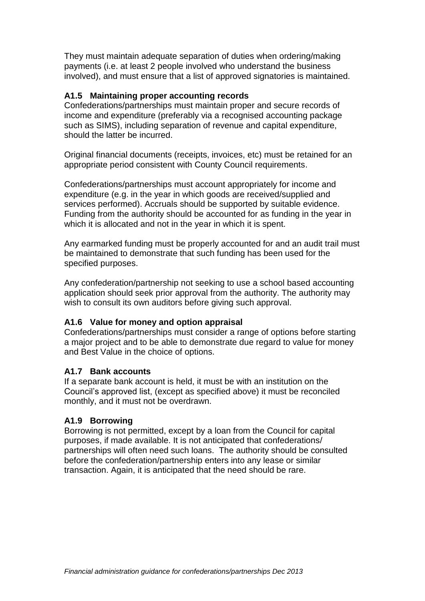They must maintain adequate separation of duties when ordering/making payments (i.e. at least 2 people involved who understand the business involved), and must ensure that a list of approved signatories is maintained.

### **A1.5 Maintaining proper accounting records**

Confederations/partnerships must maintain proper and secure records of income and expenditure (preferably via a recognised accounting package such as SIMS), including separation of revenue and capital expenditure, should the latter be incurred.

Original financial documents (receipts, invoices, etc) must be retained for an appropriate period consistent with County Council requirements.

Confederations/partnerships must account appropriately for income and expenditure (e.g. in the year in which goods are received/supplied and services performed). Accruals should be supported by suitable evidence. Funding from the authority should be accounted for as funding in the year in which it is allocated and not in the year in which it is spent.

Any earmarked funding must be properly accounted for and an audit trail must be maintained to demonstrate that such funding has been used for the specified purposes.

Any confederation/partnership not seeking to use a school based accounting application should seek prior approval from the authority. The authority may wish to consult its own auditors before giving such approval.

### **A1.6 Value for money and option appraisal**

Confederations/partnerships must consider a range of options before starting a major project and to be able to demonstrate due regard to value for money and Best Value in the choice of options.

#### **A1.7 Bank accounts**

If a separate bank account is held, it must be with an institution on the Council's approved list, (except as specified above) it must be reconciled monthly, and it must not be overdrawn.

#### **A1.9 Borrowing**

Borrowing is not permitted, except by a loan from the Council for capital purposes, if made available. It is not anticipated that confederations/ partnerships will often need such loans. The authority should be consulted before the confederation/partnership enters into any lease or similar transaction. Again, it is anticipated that the need should be rare.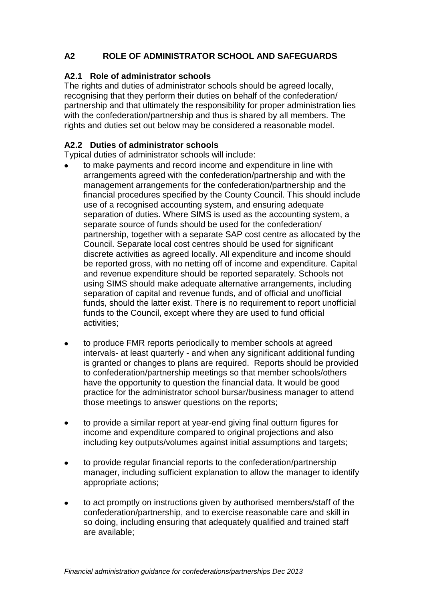# **A2 ROLE OF ADMINISTRATOR SCHOOL AND SAFEGUARDS**

### **A2.1 Role of administrator schools**

The rights and duties of administrator schools should be agreed locally, recognising that they perform their duties on behalf of the confederation/ partnership and that ultimately the responsibility for proper administration lies with the confederation/partnership and thus is shared by all members. The rights and duties set out below may be considered a reasonable model.

### **A2.2 Duties of administrator schools**

Typical duties of administrator schools will include:

- to make payments and record income and expenditure in line with arrangements agreed with the confederation/partnership and with the management arrangements for the confederation/partnership and the financial procedures specified by the County Council. This should include use of a recognised accounting system, and ensuring adequate separation of duties. Where SIMS is used as the accounting system, a separate source of funds should be used for the confederation/ partnership, together with a separate SAP cost centre as allocated by the Council. Separate local cost centres should be used for significant discrete activities as agreed locally. All expenditure and income should be reported gross, with no netting off of income and expenditure. Capital and revenue expenditure should be reported separately. Schools not using SIMS should make adequate alternative arrangements, including separation of capital and revenue funds, and of official and unofficial funds, should the latter exist. There is no requirement to report unofficial funds to the Council, except where they are used to fund official activities;
- to produce FMR reports periodically to member schools at agreed  $\bullet$ intervals- at least quarterly - and when any significant additional funding is granted or changes to plans are required. Reports should be provided to confederation/partnership meetings so that member schools/others have the opportunity to question the financial data. It would be good practice for the administrator school bursar/business manager to attend those meetings to answer questions on the reports;
- to provide a similar report at year-end giving final outturn figures for  $\bullet$ income and expenditure compared to original projections and also including key outputs/volumes against initial assumptions and targets;
- to provide regular financial reports to the confederation/partnership  $\bullet$ manager, including sufficient explanation to allow the manager to identify appropriate actions;
- to act promptly on instructions given by authorised members/staff of the  $\bullet$ confederation/partnership, and to exercise reasonable care and skill in so doing, including ensuring that adequately qualified and trained staff are available;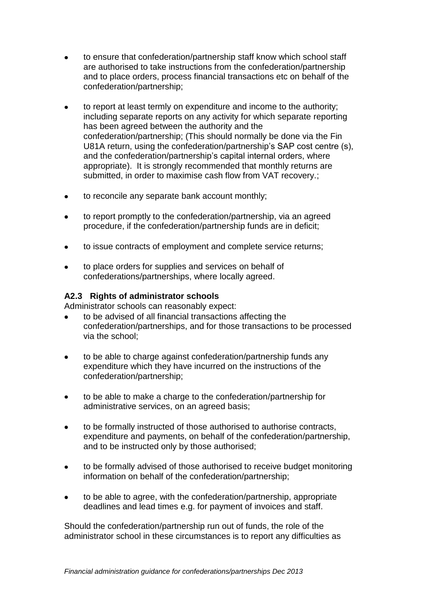- to ensure that confederation/partnership staff know which school staff  $\bullet$ are authorised to take instructions from the confederation/partnership and to place orders, process financial transactions etc on behalf of the confederation/partnership;
- to report at least termly on expenditure and income to the authority;  $\bullet$ including separate reports on any activity for which separate reporting has been agreed between the authority and the confederation/partnership; (This should normally be done via the Fin U81A return, using the confederation/partnership's SAP cost centre (s), and the confederation/partnership's capital internal orders, where appropriate). It is strongly recommended that monthly returns are submitted, in order to maximise cash flow from VAT recovery.;
- to reconcile any separate bank account monthly;  $\bullet$
- to report promptly to the confederation/partnership, via an agreed procedure, if the confederation/partnership funds are in deficit;
- to issue contracts of employment and complete service returns;
- to place orders for supplies and services on behalf of confederations/partnerships, where locally agreed.

#### **A2.3 Rights of administrator schools**

Administrator schools can reasonably expect:

- to be advised of all financial transactions affecting the confederation/partnerships, and for those transactions to be processed via the school;
- to be able to charge against confederation/partnership funds any  $\bullet$ expenditure which they have incurred on the instructions of the confederation/partnership;
- to be able to make a charge to the confederation/partnership for  $\bullet$ administrative services, on an agreed basis;
- to be formally instructed of those authorised to authorise contracts,  $\bullet$ expenditure and payments, on behalf of the confederation/partnership, and to be instructed only by those authorised;
- to be formally advised of those authorised to receive budget monitoring  $\bullet$ information on behalf of the confederation/partnership;
- to be able to agree, with the confederation/partnership, appropriate  $\bullet$ deadlines and lead times e.g. for payment of invoices and staff.

Should the confederation/partnership run out of funds, the role of the administrator school in these circumstances is to report any difficulties as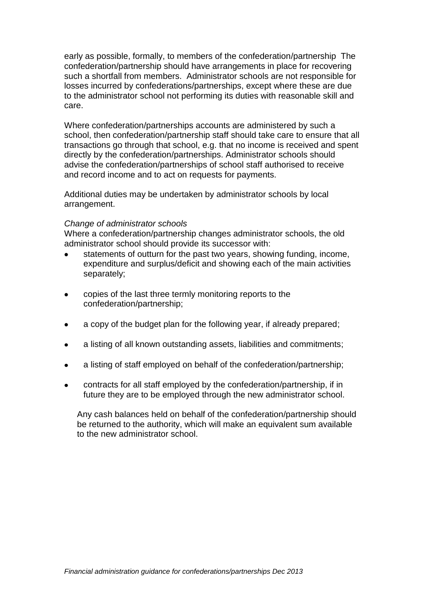early as possible, formally, to members of the confederation/partnership The confederation/partnership should have arrangements in place for recovering such a shortfall from members. Administrator schools are not responsible for losses incurred by confederations/partnerships, except where these are due to the administrator school not performing its duties with reasonable skill and care.

Where confederation/partnerships accounts are administered by such a school, then confederation/partnership staff should take care to ensure that all transactions go through that school, e.g. that no income is received and spent directly by the confederation/partnerships. Administrator schools should advise the confederation/partnerships of school staff authorised to receive and record income and to act on requests for payments.

Additional duties may be undertaken by administrator schools by local arrangement.

#### *Change of administrator schools*

Where a confederation/partnership changes administrator schools, the old administrator school should provide its successor with:

- statements of outturn for the past two years, showing funding, income, expenditure and surplus/deficit and showing each of the main activities separately;
- copies of the last three termly monitoring reports to the confederation/partnership;
- a copy of the budget plan for the following year, if already prepared;
- a listing of all known outstanding assets, liabilities and commitments;
- a listing of staff employed on behalf of the confederation/partnership;
- contracts for all staff employed by the confederation/partnership, if in future they are to be employed through the new administrator school.

Any cash balances held on behalf of the confederation/partnership should be returned to the authority, which will make an equivalent sum available to the new administrator school.